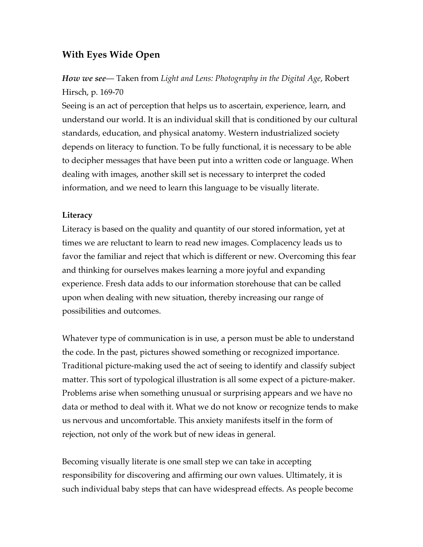## **With Eyes Wide Open**

# *How we see*— Taken from *Light and Lens: Photography in the Digital Age*, Robert Hirsch, p. 169-70

Seeing is an act of perception that helps us to ascertain, experience, learn, and understand our world. It is an individual skill that is conditioned by our cultural standards, education, and physical anatomy. Western industrialized society depends on literacy to function. To be fully functional, it is necessary to be able to decipher messages that have been put into a written code or language. When dealing with images, another skill set is necessary to interpret the coded information, and we need to learn this language to be visually literate.

### **Literacy**

Literacy is based on the quality and quantity of our stored information, yet at times we are reluctant to learn to read new images. Complacency leads us to favor the familiar and reject that which is different or new. Overcoming this fear and thinking for ourselves makes learning a more joyful and expanding experience. Fresh data adds to our information storehouse that can be called upon when dealing with new situation, thereby increasing our range of possibilities and outcomes.

Whatever type of communication is in use, a person must be able to understand the code. In the past, pictures showed something or recognized importance. Traditional picture-making used the act of seeing to identify and classify subject matter. This sort of typological illustration is all some expect of a picture-maker. Problems arise when something unusual or surprising appears and we have no data or method to deal with it. What we do not know or recognize tends to make us nervous and uncomfortable. This anxiety manifests itself in the form of rejection, not only of the work but of new ideas in general.

Becoming visually literate is one small step we can take in accepting responsibility for discovering and affirming our own values. Ultimately, it is such individual baby steps that can have widespread effects. As people become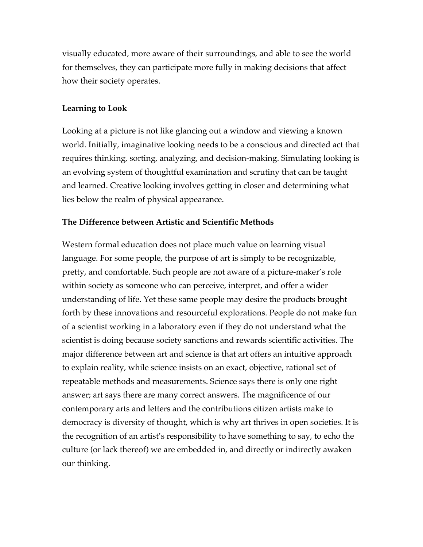visually educated, more aware of their surroundings, and able to see the world for themselves, they can participate more fully in making decisions that affect how their society operates.

### **Learning to Look**

Looking at a picture is not like glancing out a window and viewing a known world. Initially, imaginative looking needs to be a conscious and directed act that requires thinking, sorting, analyzing, and decision-making. Simulating looking is an evolving system of thoughtful examination and scrutiny that can be taught and learned. Creative looking involves getting in closer and determining what lies below the realm of physical appearance.

### **The Difference between Artistic and Scientific Methods**

Western formal education does not place much value on learning visual language. For some people, the purpose of art is simply to be recognizable, pretty, and comfortable. Such people are not aware of a picture-maker's role within society as someone who can perceive, interpret, and offer a wider understanding of life. Yet these same people may desire the products brought forth by these innovations and resourceful explorations. People do not make fun of a scientist working in a laboratory even if they do not understand what the scientist is doing because society sanctions and rewards scientific activities. The major difference between art and science is that art offers an intuitive approach to explain reality, while science insists on an exact, objective, rational set of repeatable methods and measurements. Science says there is only one right answer; art says there are many correct answers. The magnificence of our contemporary arts and letters and the contributions citizen artists make to democracy is diversity of thought, which is why art thrives in open societies. It is the recognition of an artist's responsibility to have something to say, to echo the culture (or lack thereof) we are embedded in, and directly or indirectly awaken our thinking.